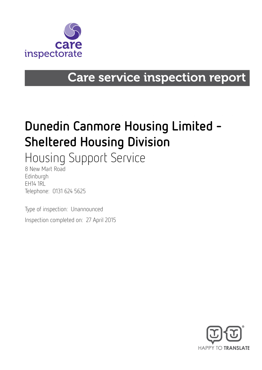

## **Care service inspection report**

# Dunedin Canmore Housing Limited - Sheltered Housing Division

Housing Support Service

8 New Mart Road Edinburgh **FH14 1RL** Telephone: 0131 624 5625

Type of inspection: Unannounced Inspection completed on: 27 April 2015

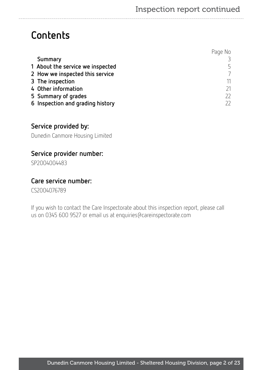## **Contents**

|                                  | Page No |
|----------------------------------|---------|
| Summary                          |         |
| 1 About the service we inspected | 5       |
| 2 How we inspected this service  |         |
| 3 The inspection                 | 11      |
| 4 Other information              | 21      |
| 5 Summary of grades              | 22      |
| 6 Inspection and grading history |         |

## Service provided by:

Dunedin Canmore Housing Limited

### Service provider number:

SP2004004483

#### Care service number:

CS2004076789

If you wish to contact the Care Inspectorate about this inspection report, please call us on 0345 600 9527 or email us at enquiries@careinspectorate.com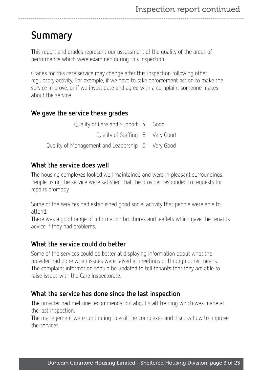## <span id="page-2-0"></span>Summary

This report and grades represent our assessment of the quality of the areas of performance which were examined during this inspection.

Grades for this care service may change after this inspection following other regulatory activity. For example, if we have to take enforcement action to make the service improve, or if we investigate and agree with a complaint someone makes about the service.

#### We gave the service these grades

Quality of Care and Support 4 Good Quality of Staffing 5 Very Good Quality of Management and Leadership 5 Very Good

#### What the service does well

The housing complexes looked well maintained and were in pleasant surroundings. People using the service were satisfied that the provider responded to requests for repairs promptly.

Some of the services had established good social activity that people were able to attend.

There was a good range of information brochures and leaflets which gave the tenants advice if they had problems.

### What the service could do better

Some of the services could do better at displaying information about what the provider had done when issues were raised at meetings or through other means. The complaint information should be updated to tell tenants that they are able to raise issues with the Care Inspectorate.

#### What the service has done since the last inspection

The provider had met one recommendation about staff training which was made at the last inspection.

The management were continuing to visit the complexes and discuss how to improve the services.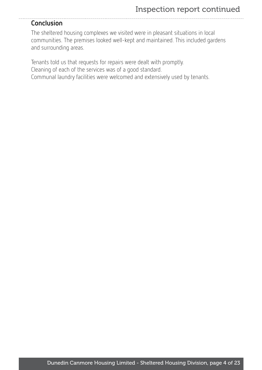#### Conclusion

The sheltered housing complexes we visited were in pleasant situations in local communities. The premises looked well-kept and maintained. This included gardens and surrounding areas.

Tenants told us that requests for repairs were dealt with promptly. Cleaning of each of the services was of a good standard. Communal laundry facilities were welcomed and extensively used by tenants.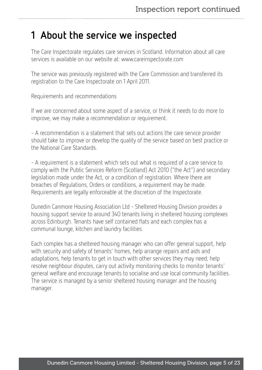## <span id="page-4-0"></span>1 About the service we inspected

The Care Inspectorate regulates care services in Scotland. Information about all care services is available on our website at: www.careinspectorate.com

The service was previously registered with the Care Commission and transferred its registration to the Care Inspectorate on 1 April 2011.

Requirements and recommendations

If we are concerned about some aspect of a service, or think it needs to do more to improve, we may make a recommendation or requirement.

- A recommendation is a statement that sets out actions the care service provider should take to improve or develop the quality of the service based on best practice or the National Care Standards.

- A requirement is a statement which sets out what is required of a care service to comply with the Public Services Reform (Scotland) Act 2010 ("the Act") and secondary legislation made under the Act, or a condition of registration. Where there are breaches of Regulations, Orders or conditions, a requirement may be made. Requirements are legally enforceable at the discretion of the Inspectorate.

Dunedin Canmore Housing Association Ltd - Sheltered Housing Division provides a housing support service to around 340 tenants living in sheltered housing complexes across Edinburgh. Tenants have self contained flats and each complex has a communal lounge, kitchen and laundry facilities.

Each complex has a sheltered housing manager who can offer general support, help with security and safety of tenants' homes, help arrange repairs and aids and adaptations, help tenants to get in touch with other services they may need, help resolve neighbour disputes, carry out activity monitoring checks to monitor tenants' general welfare and encourage tenants to socialise and use local community facilities. The service is managed by a senior sheltered housing manager and the housing manager.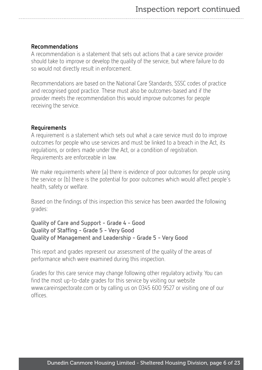#### Recommendations

A recommendation is a statement that sets out actions that a care service provider should take to improve or develop the quality of the service, but where failure to do so would not directly result in enforcement.

Recommendations are based on the National Care Standards, SSSC codes of practice and recognised good practice. These must also be outcomes-based and if the provider meets the recommendation this would improve outcomes for people receiving the service.

#### Requirements

A requirement is a statement which sets out what a care service must do to improve outcomes for people who use services and must be linked to a breach in the Act, its regulations, or orders made under the Act, or a condition of registration. Requirements are enforceable in law.

We make requirements where (a) there is evidence of poor outcomes for people using the service or (b) there is the potential for poor outcomes which would affect people's health, safety or welfare.

Based on the findings of this inspection this service has been awarded the following grades:

#### Quality of Care and Support - Grade 4 - Good Quality of Staffing - Grade 5 - Very Good Quality of Management and Leadership - Grade 5 - Very Good

This report and grades represent our assessment of the quality of the areas of performance which were examined during this inspection.

Grades for this care service may change following other regulatory activity. You can find the most up-to-date grades for this service by visiting our website www.careinspectorate.com or by calling us on 0345 600 9527 or visiting one of our offices.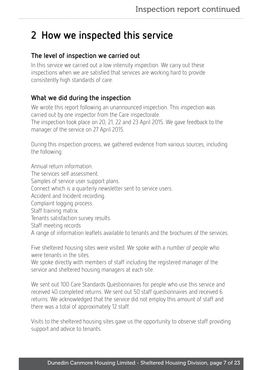## <span id="page-6-0"></span>2 How we inspected this service

## The level of inspection we carried out

In this service we carried out a low intensity inspection. We carry out these inspections when we are satisfied that services are working hard to provide consistently high standards of care.

## What we did during the inspection

We wrote this report following an unannounced inspection. This inspection was carried out by one inspector from the Care inspectorate. The inspection took place on 20, 21, 22 and 23 April 2015. We gave feedback to the manager of the service on 27 April 2015.

During this inspection process, we gathered evidence from various sources, including the following:

Annual return information. The services self assessment. Samples of service user support plans. Connect which is a quarterly newsletter sent to service users. Accident and Incident recording. Complaint logging process. Staff training matrix. Tenants satisfaction survey results. Staff meeting records A range of information leaflets available to tenants and the brochures of the services.

Five sheltered housing sites were visited. We spoke with a number of people who were tenants in the sites.

We spoke directly with members of staff including the registered manager of the service and sheltered housing managers at each site.

We sent out 100 Care Standards Questionnaires for people who use this service and received 40 completed returns. We sent out 50 staff questionnaires and received 6 returns. We acknowledged that the service did not employ this amount of staff and there was a total of approximately 12 staff.

Visits to the sheltered housing sites gave us the opportunity to observe staff providing support and advice to tenants.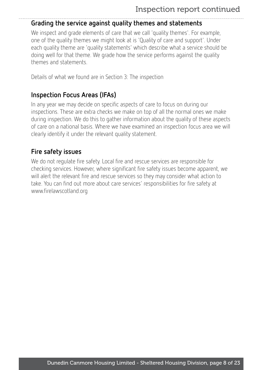### Grading the service against quality themes and statements

We inspect and grade elements of care that we call 'quality themes'. For example, one of the quality themes we might look at is 'Quality of care and support'. Under each quality theme are 'quality statements' which describe what a service should be doing well for that theme. We grade how the service performs against the quality themes and statements.

Details of what we found are in Section 3: The inspection

## Inspection Focus Areas (IFAs)

In any year we may decide on specific aspects of care to focus on during our inspections. These are extra checks we make on top of all the normal ones we make during inspection. We do this to gather information about the quality of these aspects of care on a national basis. Where we have examined an inspection focus area we will clearly identify it under the relevant quality statement.

### Fire safety issues

We do not regulate fire safety. Local fire and rescue services are responsible for checking services. However, where significant fire safety issues become apparent, we will alert the relevant fire and rescue services so they may consider what action to take. You can find out more about care services' responsibilities for fire safety at www.firelawscotland.org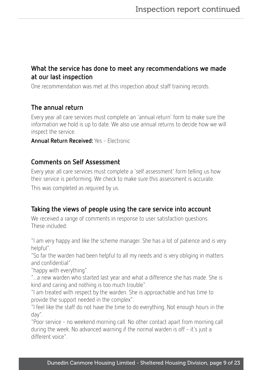### What the service has done to meet any recommendations we made at our last inspection

One recommendation was met at this inspection about staff training records.

### The annual return

Every year all care services must complete an 'annual return' form to make sure the information we hold is up to date. We also use annual returns to decide how we will inspect the service.

Annual Return Received: Yes - Electronic

### Comments on Self Assessment

Every year all care services must complete a 'self assessment' form telling us how their service is performing. We check to make sure this assessment is accurate. This was completed as required by us.

#### Taking the views of people using the care service into account

We received a range of comments in response to user satisfaction questions. These included:

"I am very happy and like the scheme manager. She has a lot of patience and is very helpful".

"So far the warden had been helpful to all my needs and is very obliging in matters and confidential".

"happy with everything".

"...a new warden who started last year and what a difference she has made. She is kind and caring and nothing is too much trouble".

"I am treated with respect by the warden. She is approachable and has time to provide the support needed in the complex".

"I feel like the staff do not have the time to do everything. Not enough hours in the day".

"Poor service - no weekend morning call. No other contact apart from morning call during the week. No advanced warning if the normal warden is off - it's just a different voice".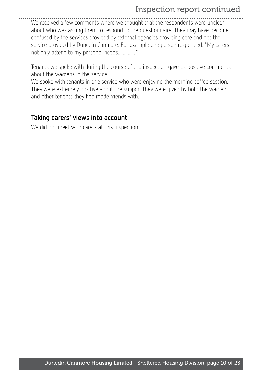## Inspection report continued

We received a few comments where we thought that the respondents were unclear about who was asking them to respond to the questionnaire. They may have become confused by the services provided by external agencies providing care and not the service provided by Dunedin Canmore. For example one person responded: "My carers not only attend to my personal needs..............."

Tenants we spoke with during the course of the inspection gave us positive comments about the wardens in the service.

We spoke with tenants in one service who were enjoying the morning coffee session. They were extremely positive about the support they were given by both the warden and other tenants they had made friends with.

#### Taking carers' views into account

We did not meet with carers at this inspection.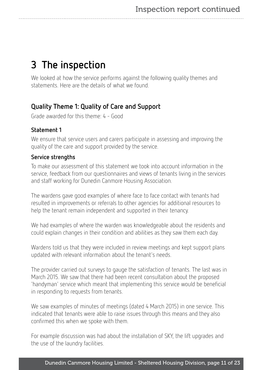## <span id="page-10-0"></span>3 The inspection

We looked at how the service performs against the following quality themes and statements. Here are the details of what we found.

## Quality Theme 1: Quality of Care and Support

Grade awarded for this theme: 4 - Good

#### Statement 1

We ensure that service users and carers participate in assessing and improving the quality of the care and support provided by the service.

#### Service strengths

To make our assessment of this statement we took into account information in the service, feedback from our questionnaires and views of tenants living in the services and staff working for Dunedin Canmore Housing Association.

The wardens gave good examples of where face to face contact with tenants had resulted in improvements or referrals to other agencies for additional resources to help the tenant remain independent and supported in their tenancy.

We had examples of where the warden was knowledgeable about the residents and could explain changes in their condition and abilities as they saw them each day.

Wardens told us that they were included in review meetings and kept support plans updated with relevant information about the tenant's needs.

The provider carried out surveys to gauge the satisfaction of tenants. The last was in March 2015. We saw that there had been recent consultation about the proposed 'handyman' service which meant that implementing this service would be beneficial in responding to requests from tenants.

We saw examples of minutes of meetings (dated 4 March 2015) in one service. This indicated that tenants were able to raise issues through this means and they also confirmed this when we spoke with them.

For example discussion was had about the installation of SKY, the lift upgrades and the use of the laundry facilities.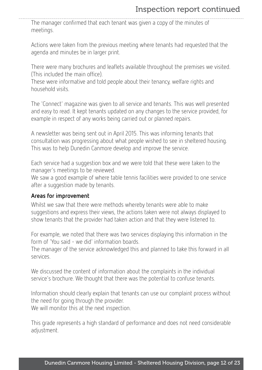The manager confirmed that each tenant was given a copy of the minutes of meetings.

Actions were taken from the previous meeting where tenants had requested that the agenda and minutes be in larger print.

There were many brochures and leaflets available throughout the premises we visited. (This included the main office).

These were informative and told people about their tenancy, welfare rights and household visits.

The 'Connect' magazine was given to all service and tenants. This was well presented and easy to read. It kept tenants updated on any changes to the service provided, for example in respect of any works being carried out or planned repairs.

A newsletter was being sent out in April 2015. This was informing tenants that consultation was progressing about what people wished to see in sheltered housing. This was to help Dunedin Canmore develop and improve the service.

Each service had a suggestion box and we were told that these were taken to the manager's meetings to be reviewed.

We saw a good example of where table tennis facilities were provided to one service after a suggestion made by tenants.

#### Areas for improvement

Whilst we saw that there were methods whereby tenants were able to make suggestions and express their views, the actions taken were not always displayed to show tenants that the provider had taken action and that they were listened to.

For example, we noted that there was two services displaying this information in the form of 'You said - we did' information boards.

The manager of the service acknowledged this and planned to take this forward in all services.

We discussed the content of information about the complaints in the individual service's brochure. We thought that there was the potential to confuse tenants.

Information should clearly explain that tenants can use our complaint process without the need for going through the provider.

We will monitor this at the next inspection.

This grade represents a high standard of performance and does not need considerable adjustment.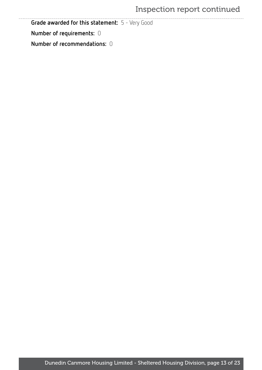## Inspection report continued

Grade awarded for this statement: 5 - Very Good

Number of requirements: 0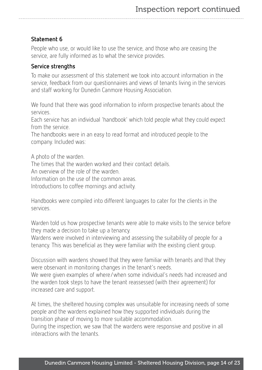#### Statement 6

People who use, or would like to use the service, and those who are ceasing the service, are fully informed as to what the service provides.

#### Service strengths

To make our assessment of this statement we took into account information in the service, feedback from our questionnaires and views of tenants living in the services and staff working for Dunedin Canmore Housing Association.

We found that there was good information to inform prospective tenants about the services.

Each service has an individual 'handbook' which told people what they could expect from the service.

The handbooks were in an easy to read format and introduced people to the company. Included was:

A photo of the warden.

The times that the warden worked and their contact details.

An overview of the role of the warden.

Information on the use of the common areas.

Introductions to coffee mornings and activity.

Handbooks were compiled into different languages to cater for the clients in the services.

Warden told us how prospective tenants were able to make visits to the service before they made a decision to take up a tenancy.

Wardens were involved in interviewing and assessing the suitability of people for a tenancy. This was beneficial as they were familiar with the existing client group.

Discussion with wardens showed that they were familiar with tenants and that they were observant in monitoring changes in the tenant's needs.

We were given examples of where/when some individual's needs had increased and the warden took steps to have the tenant reassessed (with their agreement) for increased care and support.

At times, the sheltered housing complex was unsuitable for increasing needs of some people and the wardens explained how they supported individuals during the transition phase of moving to more suitable accommodation.

During the inspection, we saw that the wardens were responsive and positive in all interactions with the tenants.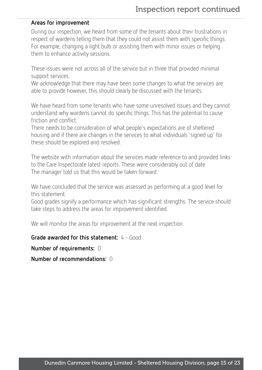#### Areas for improvement

During our inspection, we heard from some of the tenants about their frustrations in respect of wardens telling them that they could not assist them with specific things. For example, changing a light bulb or assisting them with minor issues or helping them to enhance activity sessions.

These issues were not across all of the service but in three that provided minimal support services.

We acknowledge that there may have been some changes to what the services are able to provide however, this should clearly be discussed with the tenants.

We have heard from some tenants who have some unresolved issues and they cannot understand why wardens cannot do specific things. This has the potential to cause friction and conflict.

There needs to be consideration of what people's expectations are of sheltered housing and if there are changes in the services to what individuals 'signed up' for these should be explored and resolved.

The website with information about the services made reference to and provided links to the Care Inspectorate latest reports. These were considerably out of date. The manager told us that this would be taken forward.

We have concluded that the service was assessed as performing at a good level for this statement.

Good grades signify a performance which has significant strengths. The service should take steps to address the areas for improvement identified.

We will monitor the areas for improvement at the next inspection.

Grade awarded for this statement: 4 - Good

Number of requirements: 0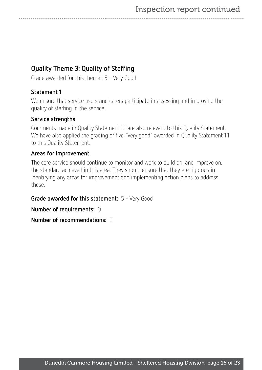## Quality Theme 3: Quality of Staffing

Grade awarded for this theme: 5 - Very Good

#### Statement 1

We ensure that service users and carers participate in assessing and improving the quality of staffing in the service.

#### Service strengths

Comments made in Quality Statement 1.1 are also relevant to this Quality Statement. We have also applied the grading of five "Very good" awarded in Quality Statement 1.1 to this Quality Statement.

#### Areas for improvement

The care service should continue to monitor and work to build on, and improve on, the standard achieved in this area. They should ensure that they are rigorous in identifying any areas for improvement and implementing action plans to address these.

Grade awarded for this statement: 5 - Very Good

Number of requirements: 0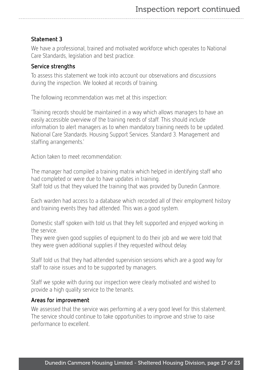#### Statement 3

We have a professional, trained and motivated workforce which operates to National Care Standards, legislation and best practice.

#### Service strengths

To assess this statement we took into account our observations and discussions during the inspection. We looked at records of training.

The following recommendation was met at this inspection:

'Training records should be maintained in a way which allows managers to have an easily accessible overview of the training needs of staff. This should include information to alert managers as to when mandatory training needs to be updated. National Care Standards. Housing Support Services. Standard 3. Management and staffing arrangements.'

Action taken to meet recommendation:

The manager had compiled a training matrix which helped in identifying staff who had completed or were due to have updates in training. Staff told us that they valued the training that was provided by Dunedin Canmore.

Each warden had access to a database which recorded all of their employment history and training events they had attended. This was a good system.

Domestic staff spoken with told us that they felt supported and enjoyed working in the service.

They were given good supplies of equipment to do their job and we were told that they were given additional supplies if they requested without delay.

Staff told us that they had attended supervision sessions which are a good way for staff to raise issues and to be supported by managers.

Staff we spoke with during our inspection were clearly motivated and wished to provide a high quality service to the tenants.

#### Areas for improvement

We assessed that the service was performing at a very good level for this statement. The service should continue to take opportunities to improve and strive to raise performance to excellent.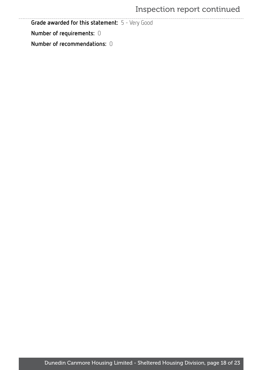## Inspection report continued

Grade awarded for this statement: 5 - Very Good

Number of requirements: 0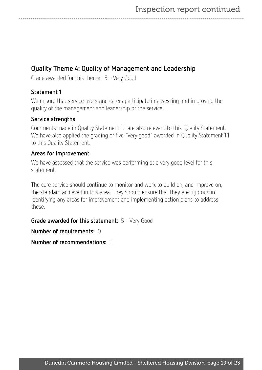## Quality Theme 4: Quality of Management and Leadership

Grade awarded for this theme: 5 - Very Good

#### Statement 1

We ensure that service users and carers participate in assessing and improving the quality of the management and leadership of the service.

#### Service strengths

Comments made in Quality Statement 1.1 are also relevant to this Quality Statement. We have also applied the grading of five "Very good" awarded in Quality Statement 1.1 to this Quality Statement.

#### Areas for improvement

We have assessed that the service was performing at a very good level for this statement.

The care service should continue to monitor and work to build on, and improve on, the standard achieved in this area. They should ensure that they are rigorous in identifying any areas for improvement and implementing action plans to address these.

Grade awarded for this statement: 5 - Very Good

Number of requirements: 0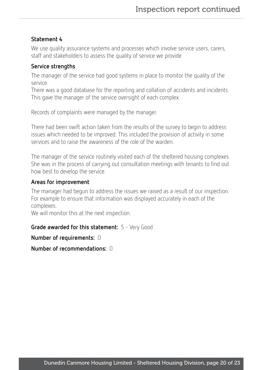#### Statement 4

We use quality assurance systems and processes which involve service users, carers, staff and stakeholders to assess the quality of service we provide

#### Service strengths

The manager of the service had good systems in place to monitor the quality of the service.

There was a good database for the reporting and collation of accidents and incidents. This gave the manager of the service oversight of each complex.

Records of complaints were managed by the manager.

There had been swift action taken from the results of the survey to begin to address issues which needed to be improved. This included the provision of activity in some services and to raise the awareness of the role of the warden.

The manager of the service routinely visited each of the sheltered housing complexes. She was in the process of carrying out consultation meetings with tenants to find out how best to develop the service.

#### Areas for improvement

The manager had begun to address the issues we raised as a result of our inspection. For example to ensure that information was displayed accurately in each of the complexes.

We will monitor this at the next inspection.

#### Grade awarded for this statement: 5 - Very Good

Number of requirements: 0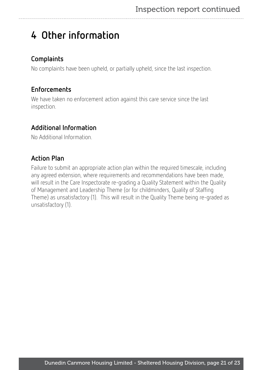## <span id="page-20-0"></span>4 Other information

## **Complaints**

No complaints have been upheld, or partially upheld, since the last inspection.

## Enforcements

We have taken no enforcement action against this care service since the last inspection.

## Additional Information

No Additional Information.

## Action Plan

Failure to submit an appropriate action plan within the required timescale, including any agreed extension, where requirements and recommendations have been made, will result in the Care Inspectorate re-grading a Quality Statement within the Quality of Management and Leadership Theme (or for childminders, Quality of Staffing Theme) as unsatisfactory (1). This will result in the Quality Theme being re-graded as unsatisfactory (1).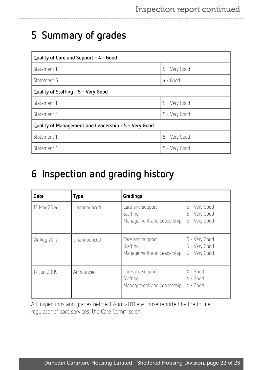## <span id="page-21-0"></span>5 Summary of grades

| Quality of Care and Support - 4 - Good               |               |  |  |  |
|------------------------------------------------------|---------------|--|--|--|
| Statement 1                                          | 5 - Very Good |  |  |  |
| Statement 6                                          | $4 - Good$    |  |  |  |
| Quality of Staffing - 5 - Very Good                  |               |  |  |  |
| Statement 1                                          | 5 - Very Good |  |  |  |
| Statement 3                                          | 5 - Very Good |  |  |  |
| Quality of Management and Leadership - 5 - Very Good |               |  |  |  |
| Statement 1                                          | 5 - Very Good |  |  |  |
| Statement 4                                          | 5 - Very Good |  |  |  |

## <span id="page-21-1"></span>6 Inspection and grading history

| <b>Date</b> | Type        | Gradings                                                  |                                                 |
|-------------|-------------|-----------------------------------------------------------|-------------------------------------------------|
| 13 Mar 2014 | Unannounced | Care and support<br>Staffing<br>Management and Leadership | 5 - Very Good<br>5 - Very Good<br>5 - Very Good |
| 24 Aug 2012 | Unannounced | Care and support<br>Staffing<br>Management and Leadership | 5 - Very Good<br>5 - Very Good<br>5 - Very Good |
| 17 Jun 2009 | Announced   | Care and support<br>Staffing<br>Management and Leadership | $4 - Good$<br>$4 - Good$<br>$4 - Good$          |

All inspections and grades before 1 April 2011 are those reported by the former regulator of care services, the Care Commission.